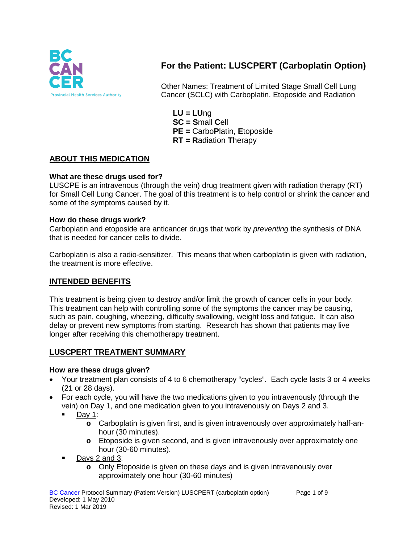

# **For the Patient: LUSCPERT (Carboplatin Option)**

Other Names: Treatment of Limited Stage Small Cell Lung Cancer (SCLC) with Carboplatin, Etoposide and Radiation

**LU = LU**ng **SC = S**mall **C**ell **PE =** Carbo**P**latin, **E**toposide **RT = R**adiation **T**herapy

### **ABOUT THIS MEDICATION**

#### **What are these drugs used for?**

LUSCPE is an intravenous (through the vein) drug treatment given with radiation therapy (RT) for Small Cell Lung Cancer. The goal of this treatment is to help control or shrink the cancer and some of the symptoms caused by it.

#### **How do these drugs work?**

Carboplatin and etoposide are anticancer drugs that work by *preventing* the synthesis of DNA that is needed for cancer cells to divide.

Carboplatin is also a radio-sensitizer. This means that when carboplatin is given with radiation, the treatment is more effective.

#### **INTENDED BENEFITS**

This treatment is being given to destroy and/or limit the growth of cancer cells in your body. This treatment can help with controlling some of the symptoms the cancer may be causing, such as pain, coughing, wheezing, difficulty swallowing, weight loss and fatigue. It can also delay or prevent new symptoms from starting. Research has shown that patients may live longer after receiving this chemotherapy treatment.

#### **LUSCPERT TREATMENT SUMMARY**

#### **How are these drugs given?**

- Your treatment plan consists of 4 to 6 chemotherapy "cycles". Each cycle lasts 3 or 4 weeks (21 or 28 days).
- For each cycle, you will have the two medications given to you intravenously (through the vein) on Day 1, and one medication given to you intravenously on Days 2 and 3.
	- $\blacksquare$  Dav 1:
		- **o** Carboplatin is given first, and is given intravenously over approximately half-anhour (30 minutes).
		- **o** Etoposide is given second, and is given intravenously over approximately one hour (30-60 minutes).
	- $\blacksquare$  Days 2 and 3:
		- **o** Only Etoposide is given on these days and is given intravenously over approximately one hour (30-60 minutes)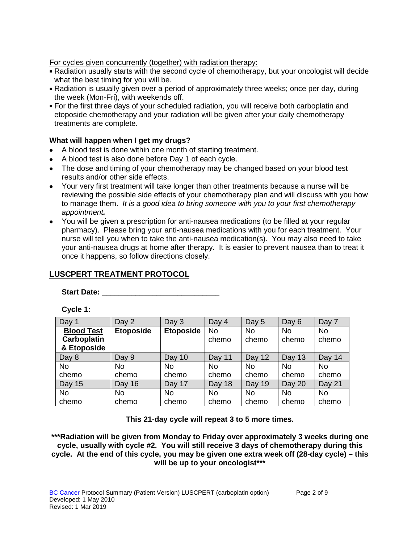For cycles given concurrently (together) with radiation therapy:

- Radiation usually starts with the second cycle of chemotherapy, but your oncologist will decide what the best timing for you will be.
- Radiation is usually given over a period of approximately three weeks; once per day, during the week (Mon-Fri), with weekends off.
- For the first three days of your scheduled radiation, you will receive both carboplatin and etoposide chemotherapy and your radiation will be given after your daily chemotherapy treatments are complete.

### **What will happen when I get my drugs?**

- A blood test is done within one month of starting treatment.
- A blood test is also done before Day 1 of each cycle.
- The dose and timing of your chemotherapy may be changed based on your blood test results and/or other side effects.
- Your very first treatment will take longer than other treatments because a nurse will be reviewing the possible side effects of your chemotherapy plan and will discuss with you how to manage them. *It is a good idea to bring someone with you to your first chemotherapy appointment.*
- You will be given a prescription for anti-nausea medications (to be filled at your regular pharmacy). Please bring your anti-nausea medications with you for each treatment. Your nurse will tell you when to take the anti-nausea medication(s). You may also need to take your anti-nausea drugs at home after therapy. It is easier to prevent nausea than to treat it once it happens, so follow directions closely.

# **LUSCPERT TREATMENT PROTOCOL**

Start Date: <u>\_\_\_\_\_\_\_\_\_\_\_\_\_\_\_\_\_</u>

**Cycle 1:**

| Day 1              | Day 2            | Day 3            | Day 4     | Day 5     | Day 6         | Day 7     |
|--------------------|------------------|------------------|-----------|-----------|---------------|-----------|
| <b>Blood Test</b>  | <b>Etoposide</b> | <b>Etoposide</b> | <b>No</b> | <b>No</b> | <b>No</b>     | No        |
| <b>Carboplatin</b> |                  |                  | chemo     | chemo     | chemo         | chemo     |
| & Etoposide        |                  |                  |           |           |               |           |
| Day 8              | Day 9            | Day 10           | Day 11    | Day 12    | <b>Day 13</b> | Day 14    |
| <b>No</b>          | No               | <b>No</b>        | No.       | No        | <b>No</b>     | No        |
| chemo              | chemo            | chemo            | chemo     | chemo     | chemo         | chemo     |
| <b>Day 15</b>      | Day 16           | Day 17           | Day 18    | Day 19    | Day 20        | Day 21    |
| <b>No</b>          | No               | No               | No.       | No        | <b>No</b>     | <b>No</b> |
| chemo              | chemo            | chemo            | chemo     | chemo     | chemo         | chemo     |

**This 21-day cycle will repeat 3 to 5 more times.**

**\*\*\*Radiation will be given from Monday to Friday over approximately 3 weeks during one cycle, usually with cycle #2. You will still receive 3 days of chemotherapy during this cycle. At the end of this cycle, you may be given one extra week off (28-day cycle) – this will be up to your oncologist\*\*\***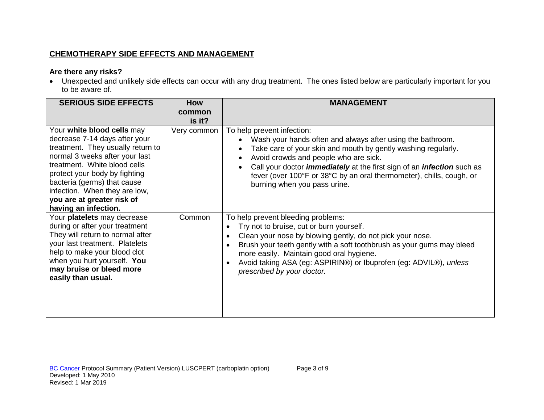# **CHEMOTHERAPY SIDE EFFECTS AND MANAGEMENT**

## **Are there any risks?**

• Unexpected and unlikely side effects can occur with any drug treatment. The ones listed below are particularly important for you to be aware of.

| <b>SERIOUS SIDE EFFECTS</b>                                                                                                                                                                                                                                                                                               | <b>How</b>       | <b>MANAGEMENT</b>                                                                                                                                                                                                                                                                                                                                                                                          |
|---------------------------------------------------------------------------------------------------------------------------------------------------------------------------------------------------------------------------------------------------------------------------------------------------------------------------|------------------|------------------------------------------------------------------------------------------------------------------------------------------------------------------------------------------------------------------------------------------------------------------------------------------------------------------------------------------------------------------------------------------------------------|
|                                                                                                                                                                                                                                                                                                                           | common<br>is it? |                                                                                                                                                                                                                                                                                                                                                                                                            |
| Your white blood cells may<br>decrease 7-14 days after your<br>treatment. They usually return to<br>normal 3 weeks after your last<br>treatment. White blood cells<br>protect your body by fighting<br>bacteria (germs) that cause<br>infection. When they are low,<br>you are at greater risk of<br>having an infection. | Very common      | To help prevent infection:<br>Wash your hands often and always after using the bathroom.<br>Take care of your skin and mouth by gently washing regularly.<br>Avoid crowds and people who are sick.<br>Call your doctor <i>immediately</i> at the first sign of an <i>infection</i> such as<br>fever (over 100°F or 38°C by an oral thermometer), chills, cough, or<br>burning when you pass urine.         |
| Your platelets may decrease<br>during or after your treatment<br>They will return to normal after<br>your last treatment. Platelets<br>help to make your blood clot<br>when you hurt yourself. You<br>may bruise or bleed more<br>easily than usual.                                                                      | Common           | To help prevent bleeding problems:<br>Try not to bruise, cut or burn yourself.<br>Clean your nose by blowing gently, do not pick your nose.<br>$\bullet$<br>Brush your teeth gently with a soft toothbrush as your gums may bleed<br>$\bullet$<br>more easily. Maintain good oral hygiene.<br>Avoid taking ASA (eg: ASPIRIN®) or Ibuprofen (eg: ADVIL®), unless<br>$\bullet$<br>prescribed by your doctor. |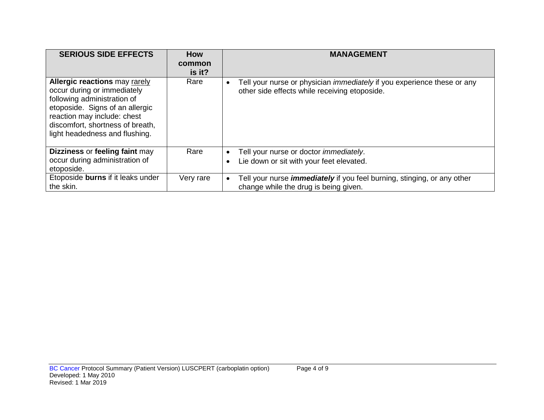| <b>SERIOUS SIDE EFFECTS</b>                                                                                                                                                                                                                | How<br>common<br>is it? | <b>MANAGEMENT</b>                                                                                                                            |
|--------------------------------------------------------------------------------------------------------------------------------------------------------------------------------------------------------------------------------------------|-------------------------|----------------------------------------------------------------------------------------------------------------------------------------------|
| <b>Allergic reactions may rarely</b><br>occur during or immediately<br>following administration of<br>etoposide. Signs of an allergic<br>reaction may include: chest<br>discomfort, shortness of breath,<br>light headedness and flushing. | Rare                    | Tell your nurse or physician <i>immediately</i> if you experience these or any<br>$\bullet$<br>other side effects while receiving etoposide. |
| Dizziness or feeling faint may<br>occur during administration of<br>etoposide.                                                                                                                                                             | Rare                    | Tell your nurse or doctor immediately.<br>$\bullet$<br>Lie down or sit with your feet elevated.<br>$\bullet$                                 |
| Etoposide burns if it leaks under<br>the skin.                                                                                                                                                                                             | Very rare               | Tell your nurse <i>immediately</i> if you feel burning, stinging, or any other<br>$\bullet$<br>change while the drug is being given.         |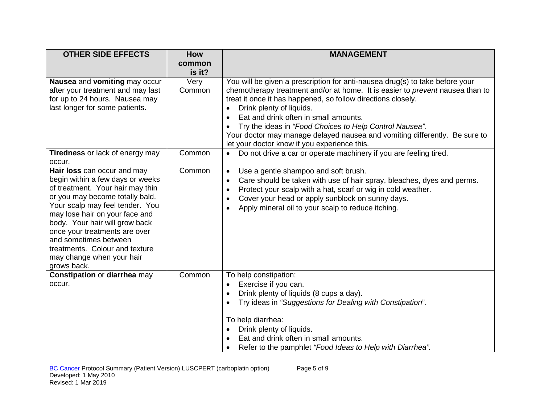| <b>OTHER SIDE EFFECTS</b>                                                                                                                                                                                                                                                                                                                                                             | <b>How</b>       | <b>MANAGEMENT</b>                                                                                                                                                                                                                                                                                                                                                                                                                                                                                        |
|---------------------------------------------------------------------------------------------------------------------------------------------------------------------------------------------------------------------------------------------------------------------------------------------------------------------------------------------------------------------------------------|------------------|----------------------------------------------------------------------------------------------------------------------------------------------------------------------------------------------------------------------------------------------------------------------------------------------------------------------------------------------------------------------------------------------------------------------------------------------------------------------------------------------------------|
|                                                                                                                                                                                                                                                                                                                                                                                       | common<br>is it? |                                                                                                                                                                                                                                                                                                                                                                                                                                                                                                          |
| Nausea and vomiting may occur<br>after your treatment and may last<br>for up to 24 hours. Nausea may<br>last longer for some patients.                                                                                                                                                                                                                                                | Very<br>Common   | You will be given a prescription for anti-nausea drug(s) to take before your<br>chemotherapy treatment and/or at home. It is easier to prevent nausea than to<br>treat it once it has happened, so follow directions closely.<br>Drink plenty of liquids.<br>$\bullet$<br>Eat and drink often in small amounts.<br>Try the ideas in "Food Choices to Help Control Nausea".<br>Your doctor may manage delayed nausea and vomiting differently. Be sure to<br>let your doctor know if you experience this. |
| Tiredness or lack of energy may<br>occur.                                                                                                                                                                                                                                                                                                                                             | Common           | Do not drive a car or operate machinery if you are feeling tired.<br>$\bullet$                                                                                                                                                                                                                                                                                                                                                                                                                           |
| Hair loss can occur and may<br>begin within a few days or weeks<br>of treatment. Your hair may thin<br>or you may become totally bald.<br>Your scalp may feel tender. You<br>may lose hair on your face and<br>body. Your hair will grow back<br>once your treatments are over<br>and sometimes between<br>treatments. Colour and texture<br>may change when your hair<br>grows back. | Common           | Use a gentle shampoo and soft brush.<br>$\bullet$<br>Care should be taken with use of hair spray, bleaches, dyes and perms.<br>$\bullet$<br>Protect your scalp with a hat, scarf or wig in cold weather.<br>$\bullet$<br>Cover your head or apply sunblock on sunny days.<br>٠<br>Apply mineral oil to your scalp to reduce itching.<br>٠                                                                                                                                                                |
| Constipation or diarrhea may<br>occur.                                                                                                                                                                                                                                                                                                                                                | Common           | To help constipation:<br>Exercise if you can.<br>$\bullet$<br>Drink plenty of liquids (8 cups a day).<br>$\bullet$<br>Try ideas in "Suggestions for Dealing with Constipation".<br>$\bullet$<br>To help diarrhea:<br>Drink plenty of liquids.<br>Eat and drink often in small amounts.<br>Refer to the pamphlet "Food Ideas to Help with Diarrhea".                                                                                                                                                      |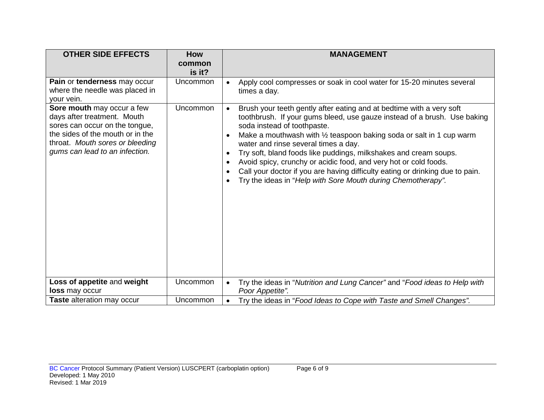| <b>OTHER SIDE EFFECTS</b>                                                                                                                                                                            | <b>How</b><br>common<br>is it? | <b>MANAGEMENT</b>                                                                                                                                                                                                                                                                                                                                                                                                                                                                                                                                                                                                                                                      |
|------------------------------------------------------------------------------------------------------------------------------------------------------------------------------------------------------|--------------------------------|------------------------------------------------------------------------------------------------------------------------------------------------------------------------------------------------------------------------------------------------------------------------------------------------------------------------------------------------------------------------------------------------------------------------------------------------------------------------------------------------------------------------------------------------------------------------------------------------------------------------------------------------------------------------|
| Pain or tenderness may occur<br>where the needle was placed in<br>your vein.                                                                                                                         | Uncommon                       | Apply cool compresses or soak in cool water for 15-20 minutes several<br>$\bullet$<br>times a day.                                                                                                                                                                                                                                                                                                                                                                                                                                                                                                                                                                     |
| Sore mouth may occur a few<br>days after treatment. Mouth<br>sores can occur on the tongue,<br>the sides of the mouth or in the<br>throat. Mouth sores or bleeding<br>gums can lead to an infection. | <b>Uncommon</b>                | Brush your teeth gently after eating and at bedtime with a very soft<br>$\bullet$<br>toothbrush. If your gums bleed, use gauze instead of a brush. Use baking<br>soda instead of toothpaste.<br>Make a mouthwash with 1/2 teaspoon baking soda or salt in 1 cup warm<br>$\bullet$<br>water and rinse several times a day.<br>Try soft, bland foods like puddings, milkshakes and cream soups.<br>$\bullet$<br>Avoid spicy, crunchy or acidic food, and very hot or cold foods.<br>$\bullet$<br>Call your doctor if you are having difficulty eating or drinking due to pain.<br>$\bullet$<br>Try the ideas in "Help with Sore Mouth during Chemotherapy".<br>$\bullet$ |
| Loss of appetite and weight<br>loss may occur                                                                                                                                                        | Uncommon                       | Try the ideas in "Nutrition and Lung Cancer" and "Food ideas to Help with<br>$\bullet$                                                                                                                                                                                                                                                                                                                                                                                                                                                                                                                                                                                 |
| Taste alteration may occur                                                                                                                                                                           | Uncommon                       | Poor Appetite".<br>Try the ideas in "Food Ideas to Cope with Taste and Smell Changes".<br>$\bullet$                                                                                                                                                                                                                                                                                                                                                                                                                                                                                                                                                                    |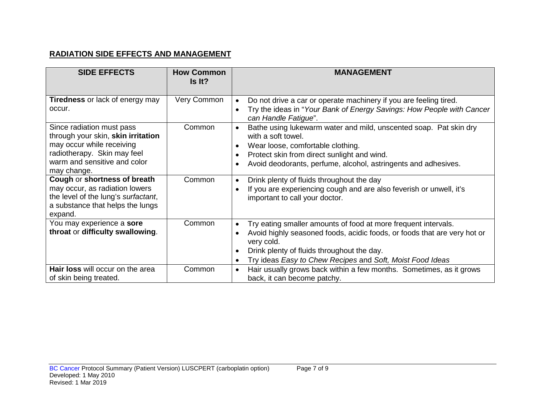# **RADIATION SIDE EFFECTS AND MANAGEMENT**

| <b>SIDE EFFECTS</b>                                                                                                                                                                                                                                                                                                     | <b>How Common</b><br>Is It? | <b>MANAGEMENT</b>                                                                                                                                                                                                                                                                                                                                                                                                             |
|-------------------------------------------------------------------------------------------------------------------------------------------------------------------------------------------------------------------------------------------------------------------------------------------------------------------------|-----------------------------|-------------------------------------------------------------------------------------------------------------------------------------------------------------------------------------------------------------------------------------------------------------------------------------------------------------------------------------------------------------------------------------------------------------------------------|
| Tiredness or lack of energy may<br>occur.                                                                                                                                                                                                                                                                               | Very Common                 | Do not drive a car or operate machinery if you are feeling tired.<br>$\bullet$<br>Try the ideas in "Your Bank of Energy Savings: How People with Cancer<br>can Handle Fatigue".                                                                                                                                                                                                                                               |
| Since radiation must pass<br>through your skin, skin irritation<br>may occur while receiving<br>radiotherapy. Skin may feel<br>warm and sensitive and color<br>may change.<br>Cough or shortness of breath<br>may occur, as radiation lowers<br>the level of the lung's surfactant,<br>a substance that helps the lungs | Common<br>Common            | Bathe using lukewarm water and mild, unscented soap. Pat skin dry<br>with a soft towel.<br>Wear loose, comfortable clothing.<br>Protect skin from direct sunlight and wind.<br>Avoid deodorants, perfume, alcohol, astringents and adhesives.<br>Drink plenty of fluids throughout the day<br>$\bullet$<br>If you are experiencing cough and are also feverish or unwell, it's<br>$\bullet$<br>important to call your doctor. |
| expand.<br>You may experience a sore<br>throat or difficulty swallowing.<br>Hair loss will occur on the area<br>of skin being treated.                                                                                                                                                                                  | Common<br>Common            | Try eating smaller amounts of food at more frequent intervals.<br>$\bullet$<br>Avoid highly seasoned foods, acidic foods, or foods that are very hot or<br>$\bullet$<br>very cold.<br>Drink plenty of fluids throughout the day.<br>Try ideas Easy to Chew Recipes and Soft, Moist Food Ideas<br>Hair usually grows back within a few months. Sometimes, as it grows<br>$\bullet$<br>back, it can become patchy.              |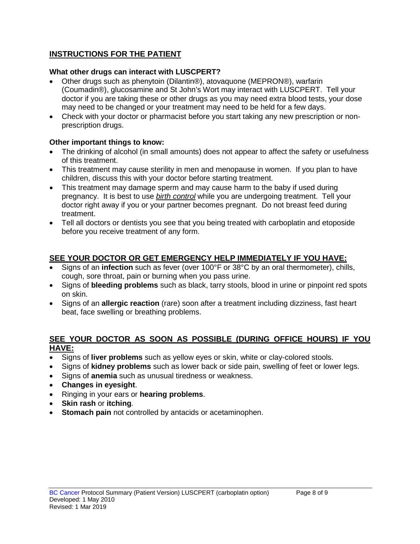# **INSTRUCTIONS FOR THE PATIENT**

### **What other drugs can interact with LUSCPERT?**

- Other drugs such as phenytoin (Dilantin®), atovaquone (MEPRON®), warfarin (Coumadin®), glucosamine and St John's Wort may interact with LUSCPERT. Tell your doctor if you are taking these or other drugs as you may need extra blood tests, your dose may need to be changed or your treatment may need to be held for a few days.
- Check with your doctor or pharmacist before you start taking any new prescription or nonprescription drugs.

### **Other important things to know:**

- The drinking of alcohol (in small amounts) does not appear to affect the safety or usefulness of this treatment.
- This treatment may cause sterility in men and menopause in women. If you plan to have children, discuss this with your doctor before starting treatment.
- This treatment may damage sperm and may cause harm to the baby if used during pregnancy. It is best to use *birth control* while you are undergoing treatment. Tell your doctor right away if you or your partner becomes pregnant. Do not breast feed during treatment.
- Tell all doctors or dentists you see that you being treated with carboplatin and etoposide before you receive treatment of any form.

# **SEE YOUR DOCTOR OR GET EMERGENCY HELP IMMEDIATELY IF YOU HAVE:**

- Signs of an **infection** such as fever (over 100°F or 38°C by an oral thermometer), chills, cough, sore throat, pain or burning when you pass urine.
- Signs of **bleeding problems** such as black, tarry stools, blood in urine or pinpoint red spots on skin.
- Signs of an **allergic reaction** (rare) soon after a treatment including dizziness, fast heart beat, face swelling or breathing problems.

### **SEE YOUR DOCTOR AS SOON AS POSSIBLE (DURING OFFICE HOURS) IF YOU HAVE:**

- Signs of **liver problems** such as yellow eyes or skin, white or clay-colored stools.
- Signs of **kidney problems** such as lower back or side pain, swelling of feet or lower legs.
- Signs of **anemia** such as unusual tiredness or weakness.
- **Changes in eyesight**.
- Ringing in your ears or **hearing problems**.
- **Skin rash** or **itching**.
- **Stomach pain** not controlled by antacids or acetaminophen.